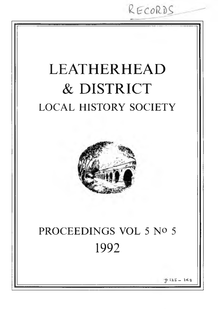RECORDS LEATHERHEAD & DISTRICT LOCAL HISTORY SOCIETY PROCEEDINGS VOL 5 Nº 5 1992  $12.5 - 14.8$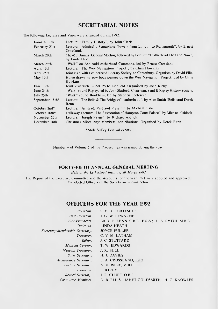# **SECRETARIAL NOTES**

The following Lectures and Visits were arranged during 1992:

| January 17th    | Lecture: "Family History", by John Clark.                                                            |
|-----------------|------------------------------------------------------------------------------------------------------|
| February 21st   | Lecture: "Admiralty Semaphore Towers from London to Portsmouth", by Ernest<br>Crossland.             |
| March 20th      | The 45th Annual General Meeting, followed by Lecture: "Leatherhead Then and Now",<br>by Linda Heath. |
| March 29th      | "Walk" on Ashtead/Leatherhead Commons, led by Ernest Crossland.                                      |
| April 10th      | Lecture: "The Wey Navigation Project", by Chris Howkins.                                             |
| April 25th      | Joint visit, with Leatherhead Literary Society, to Canterbury. Organised by David Ellis.             |
| May 10th        | Horse-drawn narrow-boat journey down the Wey Navigation Project. Led by Chris<br>Howkins.            |
| June 13th       | Joint visit with LCA/CPS to Lichfield. Organised by Joan Kirby.                                      |
| June $24th$     | "Walk" round Ripley, led by John Slatford, Chairman, Send & Ripley History Society.                  |
| July 25th       | "Walk" round Bookham, led by Stephen Fortescue.                                                      |
| September 18th* | Lecture: "The Bells & The Bridge of Leatherhead", by Alan Smith (Bells) and Derek<br>Renn.           |
| October 2nd*    | Lecture: "Ashtead, Past and Present", by Michael Gale.                                               |
| October 16th*   | Dallaway Lecture: "The Restoration of Hampton Court Palace", by Michael Fishlock.                    |
| November 20th   | Lecture: "Joseph Payne", by Richard Aldrich.                                                         |
| December 18th   | Christmas Miscellany: Members' contributions. Organised by Derek Renn.                               |

\*M ole Valley Festival events

Number 4 of Volume 5 of the Proceedings was issued during the year.

### **FORTY-FIFTH ANNUAL GENERAL MEETING**

*Held at the Letherhead Institute, 20 March 1992* 

The Report of the Executive Committee and the Accounts for the year 1991 were adopted and approved. The elected Officers of the Society are shown below.

# **OFFICERS FOR THE YEAR 1992**

| President:                      | S. E. D. FORTESCUE                                 |
|---------------------------------|----------------------------------------------------|
| <b>Past President:</b>          | J. G. W. LEWARNE                                   |
| <i>Vice-Presidents:</i>         | DR D. F. RENN, C.B.E., F.S.A.; L. A. SMITH, M.B.E. |
| Chairman:                       | LINDA HEATH                                        |
| Secretary/Membership Secretary: | <b>JOYCE FULLER</b>                                |
| Treasurer:                      | C. V. M. LATHAM                                    |
| Editor:                         | <b>J. C. STUTTARD</b>                              |
| Museum Curator:                 | T. W. EDWARDS                                      |
| Museum Treasurer:               | J. R. BULL                                         |
| Sales Secretary:                | H. J. DAVIES                                       |
| Archaeology Secretary:          | E. A. CROSSLAND, I.S.O.                            |
| Lecture Secretary:              | N. H. WEST, M.B.E.                                 |
| Librarian:                      | F. KIRBY                                           |
| Record Secretary:               | J. R. CLUBE, O.B.E.                                |
| Committee Members:              | D. B. ELLIS, JANET GOLDSMITH: H. G. KNOWLES        |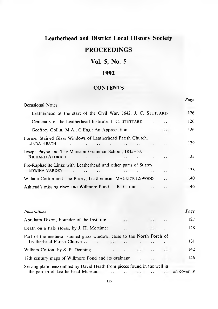# **Leatherhead and District Local History Society**

# **PROCEEDINGS**

# **Vol. 5, No. 5**

# **1992**

## **CONTENTS**

|                                                                                                    | Page |
|----------------------------------------------------------------------------------------------------|------|
| Occasional Notes                                                                                   |      |
| Leatherhead at the start of the Civil War, 1642. J. C. STUTTARD                                    | 126  |
| Centenary of the Leatherhead Institute. J. C. STUTTARD                                             | 126  |
| Geoffrey Gollin, M.A., C.Eng.: An Appreciation<br><b>Contract Contract</b>                         | 126  |
| Former Stained Glass Windows of Leatherhead Parish Church.<br><b>LINDA HEATH</b>                   | 129  |
| Joseph Payne and The Mansion Grammar School, 1845–63.<br>RICHARD ALDRICH<br>$\mathbf{r}$<br>$\sim$ | 133  |
| Pre-Raphaelite Links with Leatherhead and other parts of Surrey.<br>EDWINA VARDEY<br>$\sim$        | 138. |
| William Cotton and The Priory, Leatherhead. MAURICE EXWOOD                                         | 140  |
| Ashtead's missing river and Willmore Pond. J. R. CLUBE                                             | 146  |

| <b>Illustrations</b>                                                                                                           |                                                                                                |                          |                      | Page        |
|--------------------------------------------------------------------------------------------------------------------------------|------------------------------------------------------------------------------------------------|--------------------------|----------------------|-------------|
| Abraham Dixon, Founder of the Institute                                                                                        | $\mathcal{A}(\mathbf{x})$ . If $\mathcal{A}(\mathbf{x})$ is a set of $\mathcal{A}(\mathbf{x})$ |                          | $\ddotsc$            | 127         |
| Death on a Pale Horse, by J. H. Mortimer<br>$\ddotsc$                                                                          | $\sim$                                                                                         |                          |                      | 128         |
| Part of the medieval stained glass window, close to the North Porch of                                                         |                                                                                                |                          |                      | 131         |
|                                                                                                                                |                                                                                                |                          |                      | 142         |
| 17th century maps of Willmore Pond and its drainage                                                                            |                                                                                                |                          | $\ddot{\phantom{a}}$ | 146         |
| Serving plate reassembled by David Heath from pieces found in the well in<br>the garden of Leatherhead Museum<br>$\sim$ $\sim$ | $x^2 + y^2 = 1$                                                                                | <b>Contract Contract</b> | $\cdot$ $\cdot$      | on cover iv |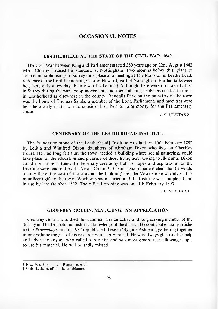### **OCCASIONAL NOTES**

#### **LEATHERHEAD AT THE START OF THE CIVIL WAR, 1642**

The Civil War between King and Parliament started 350 years ago on 22nd August 1642 when Charles I raised his standard at Nottingham. Two months before this, plans to control possible risings in Surrey took place at a meeting at The Mansion in Leatherhead, residence of the Lord Lieutenant, Charles Howard, Earl of Nottingham. Further talks were held here only a few days before war broke out.<sup>†</sup> Although there were no major battles in Surrey during the war, troop movements and their billeting problems created tensions in Leatherhead as elsewhere in the county. Randalls Park on the outskirts of the town was the home of Thomas Sands, a member of the Long Parliament, and meetings were held here early in the war to consider how best to raise money for the Parliam entary cause.

J. C. STUTTARD

#### **CENTENARY OF THE LEATHERHEAD INSTITUTE**

The foundation stone of the Leatherhead‡ Institute was laid on 10th February 1892 by Letitia and Winifred Dixon, daughters of Abraham Dixon who lived at Cherkley Court. He had long felt that the town needed a building where social gatherings could take place for the education and pleasure of those living here. Owing to ill-health, Dixon could not him self attend the February cerem ony but his hopes and aspirations for the Institute were read out by the Vicar, Canon Utterton. Dixon made it clear that he would defray the entire cost of the site and the building' and the Vicar spoke warmly of this munificent gift to the town. Work was soon started and the Institute was completed and in use by late October 1892. The official opening was on 14th February 1893.

J. C. STUTTARD

#### **GEOFFREY GOLLIN, M.A., C.ENG.: AN APPRECIATION**

Geoffrey Gollin, who died this summer, was an active and long serving member of the Society and had a profound historical knowledge of the district. He contributed many articles to the *Proceedings*, and in 1987 republished these in 'Bygone Ashtead', gathering together in one volume the gist of his research work on Ashtead. He was always glad to offer help and advice to anyone who called to see him and was most generous in allowing people to use his material. He will be sadly missed.

t Hist. Mss. Comm., 7th Report, p. 677b.

t Spelt 'L etherhead' on the entablature.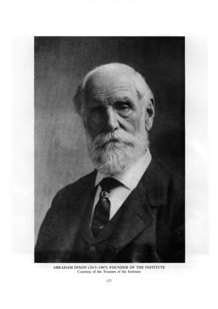

ABRAHAM DIXON (1815–1907), FOUNDER OF THE INSTITUTE<br>Courtesy of the Trustees of the Institute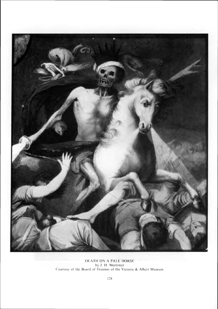

DEATH ON A PALE HORSE by J. H. Mortimer Courtesy of the Board of Trustees of the Victoria & Albert Museum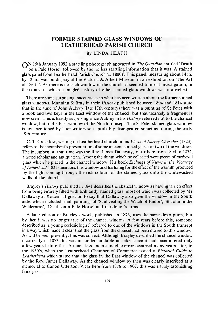### **FORMER STAINED GLASS WINDOWS OF LEATHERHEAD PARISH CHURCH**

#### By LINDA HEATH

**ON** 15th January 1992 a startling photograph appeared in *The Guardian* entitled 'Death on a Pale Horse', followed by the no less startling information that it was 'A stained glass panel from Leatherhead Parish Church (c. 1800)<sup>'</sup>. This panel, measuring about 14 in. by 12 in., was on display at the Victoria & Albert Museum in an exhibition on 'The Art of Death'. As there is no such window in the church, it seemed to merit investigation, in the course of which a tangled history of other stained glass windows was unravelled.

There are some surprising inaccuracies in what has been written about the former stained glass windows. M anning & Bray in their *History* published between 1804 and 1814 state that in the time of John Aubrey (late 17th century) there was a painting of St Peter with a book and two keys in the East window of the chancel, but that 'scarcely a fragment is now seen'. This is hardly surprising since Aubrey in his *History* referred not to the chancel window, but to the East window of the North transept. The St Peter stained glass window is not mentioned by later writers so it probably disappeared sometime during the early 19th century.

C. T. Cracklow, writing on Leatherhead church in his *Views of Surrey Churches* (1823), refers to the incum bent's presentation of some ancient stained glass for two of the windows. The incumbent at that time was the Rev. James Dallaway, Vicar here from 1804 to 1834, a noted scholar and antiquarian. Among the things which he collected were pieces of medieval glass which he placed in the chancel window. His book *Etchings of Views in the Vicarage o f Letherhead* (1821) mentions this window and his liking for the effect of the warmth produced by the light coming through the rich colours of the stained glass onto the whitewashed walls of the church.

Brayley's *History* published in 1841 describes the chancel window as having 'a rich effect from being entirely filled with brilliantly stained glass, most of which was collected by Mr Dallaway at Rouen'. It goes on to say that Dallaway also gave the window in the South aisle, which included small paintings of 'Saul visiting the Witch of Endor', 'St John in the Wilderness', 'Death on a Pale Horse' and the donor's arms.

A later edition of Brayley's work, published in 1873, uses the same description, but by then it was no longer true of the chancel window. A few years before this, someone described as 'a young ecclesiologist' referred to one of the windows in the South transept in a way which made it clear that the glass from the chancel had been moved to this window. As will be seen presently, this was correct. Although Brayley described the chancel window incorrectly in 1873 this was an understandable mistake, since it had been altered only a few years before this. A much less understandable error occurred many years later, in the 1930's, when the Leatherhead Cham ber of Commerce issued a *Pictorial Guide to Leatherhead* which stated that the glass in the East window of the chancel was collected by the Rev. James Dallaway. As the chancel window by then was clearly inscribed as a memorial to Canon Utterton, Vicar here from 1876 to 1907, this was a truly astonishing faux pas.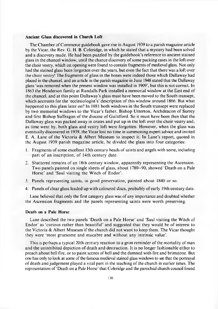#### **Ancient Glass discovered in Church Loft**

The Chamber of Commerce guidebook gave rise in August 1939 to a parish magazine article by the Vicar, the Rev. G. H. B. Coleridge, in which he stated that a mystery had been solved and a discovery made. He had been puzzled by the guidebook's reference to ancient stained glass in the chancel window, until the chance discovery of some packing cases in the loft over the choir vestry, which on opening were found to contain fragments of medieval glass. Not only had the stained glass been forgotten over the years, but even the fact that there was a loft over the choir vestry! The fragments of glass in the boxes were indeed those which Dallaway had placed in the chancel, and an article in the parish magazine in June 1948 stated that the Dallaway glass 'was removed when the present window was installed in 1909', but this is not correct. In 1863 the Henderson family at Randalls Park installed a memorial window at the East end of the chancel, and at this point Dallaway's glass must have been moved to the South transept, which accounts for the 'ecclesiologist's' description of this window around 1866. But what happened to this glass later on? In 1881 both windows in the South transept were replaced by two memorial windows to the Vicar's father. Bishop Utterton, Archdeacon of Surrey and first Bishop Suffragan of the diocese of Guildford. So it must have been then that the Dallaway glass was packed away in crates and put up in the loft over the choir vestry and, as time went by, both glass and vestry loft were forgotten. However, when the glass was eventually discovered in 1939, the Vicar lost no time in summoning expert advice and invited E. A. Lane of the Victoria & Albert Museum to inspect it. In Lane's report, quoted in the August 1939 parish magazine article, he divided the glass into four categories:

- 1. Fragments of some excellent 15th century heads of saints and angels with some, including part of an inscription, of 14th century date.
- 2. Shattered remains of an 18th century window, apparently representing the Ascension. Two panels painted on single sheets of glass, about 1780–90, showed 'Death on a Pale Horse' and 'Saul visiting the Witch of Endor'.
- 3. Panels representing saints, in good preservation, painted about 1840 or so.
- 4. Panels of clear glass leaded up with coloured discs, probably of early 19th century date.

Lane believed that only the first category glass was of any importance and doubted whether the Ascension fragments and the panels representing saints were worth preserving.

#### **Death on a Pale Horse**

Lane described the two panels 'Death on a Pale Horse' and 'Saul visiting the Witch of E ndor' as 'curious rather than beautiful' and suggested that they would be of interest to the Victoria & Albert M useum if the church did not want to keep them. The Vicar thought they were 'most gruesome and macabre and without any intrinsic value'.

This is perhaps a typical 20th century reaction to a grim reminder of the mortality of man and the uninhibited depiction of death and destruction. It is no longer fashionable either to preach about hell fire, or to paint scenes of hell and the damned with fire and brimstone. But one has only to look at some of the famous medieval stained glass windows to see that the portrayal of death and judgement played a vital part in the teaching of the church in earlier times. The representation of 'Death on a Pale Horse' that Coleridge and the parochial church council found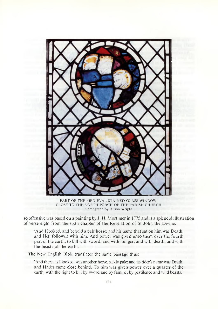

PART OF THE MEDIEVAL STAINED GLASS WINDOW. CLOSE TO THE NORTH PORCH OF THE PARISH CHURCH Photograph by Alison Wright

so offensive was based on a painting by J. H. Mortimer in 1775 and is a splendid illustration of verse eight from the sixth chapter of the Revelation of St John the Divine:

'And I looked, and behold a pale horse; and his name that sat on him was Death, and Hell followed with him. And power was given unto them over the fourth part of the earth, to kill with sword, and with hunger, and with death, and with the beasts of the earth.'

The New English Bible translates the same passage thus:

'And there, as 1 looked, was another horse, sickly pale; and its rider's name was Death, and Hades came close behind. To him was given power over a quarter of the earth, with the right to kill by sword and by famine, by pestilence and wild beasts.'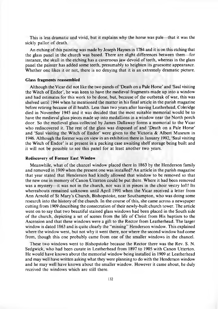This is less dramatic and vivid, but it explains why the horse was pale—that it was the sickly pallor of death.

An etching of this painting was made by Joseph Haynes in 1784 and it is on this etching that the glass panel in the church was based. There are slight differences between them— for instance, the skull in the etching has a cavernous jaw devoid of teeth, whereas in the glass panel the painter has added some teeth, presumably to heighten its gruesome appearance. Whether one likes it or not, there is no denying that it is an extremely dramatic picture.

#### **Glass fragments reassembled**

Although the Vicar did not like the two panels of 'Death on a Pale Horse' and 'Saul visiting the Witch of Endor', he was keen to have the medieval fragments made up into a window and had estimates for this work to be done, but, because of the outbreak of war, this was shelved until 1944 when he mentioned the matter in his final article in the parish magazine before retiring because of ill health. Less than two years after leaving Leatherhead, Coleridge died in November 1945 and it was decided that the most suitable memorial would be to have the medieval glass pieces made up into medallions in a window near the North porch door. So the medieval glass collected by James Dallaway forms a memorial to the Vicar who rediscovered it. The rest of the glass was disposed of and 'Death on a Pale Horse' and 'Saul visiting the Witch of Endor' were given to the Victoria & Albert Museum in 1946. Although the former was on view in an exhibition there in January 1992, 'Saul visiting the Witch of Endor' is at present in a packing case awaiting shelf storage being built and it will not be possible to see this panel for at least another two years.

#### **Rediscovery of Former East Window**

Meanwhile, what of the chancel window placed there in 1863 by the Henderson family and removed in 1909 when the present one was installed? An article in the parish magazine that year stated that Henderson had kindly allowed that window to be removed so that the new one in memory of Canon Utterton could be put there. Where it had been removed was a mystery—it was not in the church, nor was it in pieces in the choir vestry loft! Its whereabouts remained unknown until April 1991 when the Vicar received a letter from Ann Arnold of St Mary's Church, Bishopstoke, near Southampton, who was doing some research into the history of the church. In the course of this, she came across a newspaper cutting from 1909 describing the consecration of their newly-built church tower. The article went on to say that two beautiful stained glass windows had been placed in the South side of the church, depicting a set of scenes from the life of Christ from His baptism to the Ascension and that these windows were a gift to the R ector from Leatherhead. The larger window is dated 1863 and is quite clearly the "missing" Henderson window. This explained where the window went, but not why it went there, nor where the second window had come from, though this one probably came from one of the smaller windows in the chancel.

These two windows went to Bishopstoke because the Rector there was the Rev. S. N. Sedgwick, who had been curate in Leatherhead from 1897 to 1905 with Canon Utterton. He would have known about the memorial window being installed in 1909 at Leatherhead and may well have written asking what they were planning to do with the Henderson window and he may well have known about the smaller window. However it came about, he duly received the windows which are still there.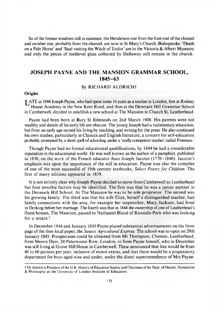So of the former windows still in existence, the Henderson one from the East end of the chancel and another one, probably from the chancel, are now in St Mary's Church, Bishopstoke: 'Death on a Pale Horse' and 'Saul visiting the Witch of Endor' are in the Victoria & Albert Museum; and only the pieces of medieval glass collected by Dallaway still remain in the church.

### **JOSEPH PAYNE AND THE MANSION GRAMMAR SCHOOL, 1845-63**

#### By RICHARD ALDRICH<sup>+</sup>

#### **Origins**

| ATE in 1844 Joseph Payne, who had spent some 16 years as a teacher in London, first at Rodney House Academy in the New Kent Road, and then at the Denmark Hill Grammar School in Camberwell, decided to establish a new school at The Mansion in Church St, Leatherhead.

Payne had been born at Bury St Edmunds on 2nd March 1808. His parents were not wealthy and details of his early life are obscure. The young Joseph had a rudimentary education, but from an early age earned his living by teaching, and writing for the press. He also continued his own studies, particularly in Classics and English literature, a concern for self-education probably prompted by a short spell of schooling under a 'really competent teacher' called Freeman.<sup>1</sup>

Though Payne had no formal educational qualifications, by 1844 he had a considerable reputation in the educational world. He was well known as the author of a pamphlet, published in 1830, on the work of the French educator Jean Joseph Jacotot (1770–1840). Jacotot's emphasis was upon the im portance of the will in education. Payne was also the compiler of one of the most successful of 19th century textbooks, *Select Poetry fo r Children.* The first of many editions appeared in 1839.

It is not entirely clear why Joseph Payne decided to move from Camberwell to Leatherhead but four possible factors may be identified. The first was that he was a junior partner in the Denmark Hill School. At The Mansion he was to be sole proprietor. The second was his growing family. The third was that his wife Eliza, herself a distinguished teacher, had family connections with the area, for example her stepmother, Mary Jackson, had lived in Dorking before her marriage. The fourth was that in 1844 the ownership of one of Leatherhead's finest houses, The Mansion, passed to Nathaniel Bland of Randalls Park who was looking for a tenant.<sup>2</sup>

In December 1844 and January 1845 Payne placed substantial advertisements on the front page of the then local paper, the *Sussex Agricultural Express.* The school was to open on 29th January 1845. Prospectuses could be obtained from Mr Thompson, Chemist, Leatherhead, from Messrs Dyer, 24 Paternoster Row, London, or from Payne himself, who in December was still living at Grove Hill House in Camberwell. These announced that fees would be from 40 to 60 guineas per year, inclusive of minor extras, and that there would be a preparatory department for boys aged nine and under, under the direct superintendence of Mrs Payne.

t Dr Aldrich is President of the U.K. History of Education Society and Chairman of the Dept, of History. Humanities & Philosophy at the University of London Institute of Education.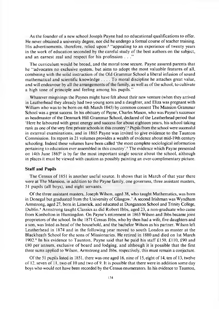As the founder of a new school Joseph Payne had no educational qualifications to offer. He never obtained a university degree, nor did he undergo a formal course of teacher training. His advertisements, therefore, relied upon:<sup>3</sup> "appealing to an experience of twenty years in the work of education seconded by the careful study of the best authors on the subject, and an earnest zeal and respect for his profession ..."

The curriculum would be broad, and the moral tone secure. Payne assured parents that he " advocates no exclusive system, but aims to adopt the most valuable features of all, combining with the solid instruction of the Old Grammar School a liberal infusion of sound mathematical and scientific knowledge . . . . To moral discipline he attaches great value, and will endeavour by all the arrangements of the family, as well as of the school, to cultivate a high tone of principle and feeling among his pupils."

Whatever misgivings the Paynes might have felt about their new venture (when they arrived in Leatherhead they already had two young sons and a daughter, and Eliza was pregnant with William who was to be born on 4th March 1845) by common consent The Mansion Grammar School was a great success. In his obituary of Payne, Charles Mason, who was Payne's successor as headmaster of the Denmark Hill Grammar School, declared of the Leatherhead period that 'Here he laboured with great energy and success for about eighteen years, his school taking rank as one of the very first private schools in this country'.4 Pupils from the school were successful in external examinations, and in 1865 Payne was invited to give evidence to the Taunton Commission. Its report in 21 volumes provides a wealth of evidence about mid-19th century schooling. Indeed these volumes have been called 'the most complete sociological information pertaining to education ever assembled in this country'.5 The evidence which Payne presented on 14th June 1865<sup>6</sup> is by far the most important single source about the school, although in places it must be viewed with caution as possibly painting an over-complimentary picture.

#### **Staff and Pupils**

The Census of 1851 is another useful source. It shows that in March of that year there were at The Mansion, in addition to the Payne family, one governess, three assistant masters, 51 pupils (all boys), and eight servants.

O f the three assistant masters, Joseph Wilson, aged 38, who taught Mathematics, was born in Donegal but graduated from the University of Glasgow.7 A second Irishman was Wyndham Armstrong, aged 27, born in Limerick, and educated at Dungannon School and Trinity College, Dublin.<sup>8</sup> Armstrong taught Classics as did R obert Ibbs, aged 23, a non-graduate who came from Kimbolton in Huntingdon. On Payne's retirement in 1863 Wilson and Ibbs became joint proprietors of the school. In the 1871 Census Ibbs, who by then had a wife, five daughters and a son, was listed as head of the household, and the bachelor Wilson as his partner. Wilson left Leatherhead in 1874 and in the following year moved to south London as master at the Blackheath School for the sons of Missionaries. He retired in 1880 and died on 1st March 1902.<sup>9</sup> In his evidence to Taunton, Payne said that he paid his staff £150, £110, £90 and £80 per annum , exclusive of board and lodging, and although it is possible that the first three sums applied to Wilson, Armstrong and Ibbs, respectively, this must remain a conjecture.

O f the 51 pupils listed in 1851, there was one aged 16, nine of 15, eight of 14, ten of 13, twelve o f 12, seven of 11. two of 10 and two of 9. It is possible that there were in addition some day boys who would not have been recorded by the Census enumerators. In his evidence to Taunton,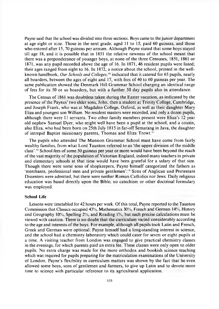Payne said that the school was divided into three sections. Boys came to the junior department at age eight or nine. Those in the next grade, aged 11 to 15, paid 60 guineas, and those who entered after 15, 70 guineas per annum. Although Payne stated that some boys stayed till age 18, and it is possible that in 1851 the relative newness of the school meant that there was a preponderance of younger boys, at none of the three Censuses, 1851, 1861 or 1871, was any pupil recorded above the age of 16. In 1871, 46 resident pupils were listed; their ages ranged from eight to 16. In 1872, a notice about the school, printed in the wellknown handbook, *Our Schools and Colleges,'0* indicated that it catered for 65 pupils, nearly all boarders, between the ages of eight and 17, with fees of 40 to 60 guineas per year. The same publication showed the Denmark Hill Grammar School charging an identical range of fees for its 50 or so boarders, but with a further 50 day pupils also in attendance.

The Census of 1861 was doubtless taken during the Easter vacation, as indicated by the presence of the Paynes' two elder sons, John, then a student at Trinity College, Cambridge, and Joseph Frank, who was at Magdalen College, Oxford, as well as their daughter Mary Eliza and youngest son William. No resident masters were recorded, and only a dozen pupils, although there were 11 servants. Two other family members present were Eliza's 12 year old nephew Samuel Dyer, who might well have been a pupil at the school, and a cousin, also Eliza, who had been born on 25th July 1815 in far-off Semarang in Java, the daughter of intrepid Baptist missionary parents, Thomas and Eliza Trowt.<sup>11</sup>

The pupils who attended The Mansion Grammar School must have come from fairly wealthy families, from what Lord Taunton referred to as 'the upper division of the middle class'.<sup>12</sup> School fees of some 50 guineas per year or more would have been beyond the reach of the vast majority of the population of Victorian England, indeed many teachers in private and elementary schools at that time would have been grateful for a salary of that size. Though there were some sons of shopkeepers, Payne himself categorized the fathers as 'merchants, professional men and private gentlemen'.<sup>13</sup> Sons of Anglican and Protestant Dissenters were admitted, but there were neither Roman Catholics nor Jews. Daily religious education was based directly upon the Bible; no catechism or other doctrinal formulary was employed.

#### **School Life**

Lessons were timetabled for 42 hours per week. Of this total, Payne reported to the Taunton Commission that Classics occupied 43%, Mathematics 30%, French and German 14%, History and Geography  $10\%$ , Spelling  $2\%$ , and Reading  $1\%$ , but such precise calculations must be viewed with caution. There is no doubt that the curriculum varied considerably according to the age and interests of the boys. For example, although all pupils took Latin and French, Greek and German were optional. Payne himself had a long-standing interest in science, and the school had a chemistry laboratory which could cater for seven or eight pupils at a time. A visiting teacher from London was engaged to give practical chemistry classes in the evenings, for which parents paid an extra fee. These classes were only open to older pupils. No extra charge was m ade for the more orthodox and bookish science teaching which was required for pupils preparing for the matriculation examinations of the University of London. Payne's flexibility in curriculum matters was shown by the fact that he even allowed some boys, sons of gentlemen and farmers, to give up Latin and to devote more time to science with particular reference to its agricultural application.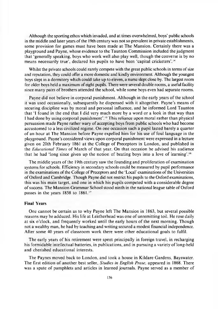Although the sporting ethos which invaded, and at times overwhelmed, boys' public schools in the middle and later years of the 19th century was not so prevalent in private establishments, some provision for games must have been made at The Mansion. Certainly there was a playground and Payne, whose evidence to the Taunton Commission included the judgment that 'generally speaking, boys who work well also play well, though the converse is by no means necessarily true', declared his pupils to have been 'capital cricketers'.14

Whilst the private schools could rarely compete with the great public schools in terms of size and reputation, they could offer a more domestic and kindly environment. Although the youngest boys slept in a dormitory which could take up to eleven, a nurse slept close by. The largest room for older boys held a maximum of eight pupils. There were several double rooms, a useful facility since many pairs of brothers attended the school, while some boys even had separate rooms.

Payne did not believe in corporal punishment. Although in the early years of the school it was used occasionally, subsequently he dispensed with it altogether. Payne's means of securing discipline was by moral and personal influence, and he informed Lord Taunton that 'I found in the end that 1 did very much more by a word or a look in that way than I had done by using corporal punishment'.<sup>15</sup> This reliance upon moral rather than physical persuasion m ade Payne rather wary of accepting boys from public schools who had become accustomed to a less civilized regime. On one occasion such a pupil lasted barely a quarter of an hour at The Mansion before Payne expelled him for his use of foul language in the playground. Payne's considered views upon corporal punishment were expressed in a lecture given on 20th February 1861 at the College of Preceptors in London, and published in the *Educational Times* of March of that year. On that occasion he advised his audience that he had 'long since given up the notion of beating boys into a love of learning'.16

The middle years of the 19th century saw the founding and proliferation of examination systems for schools. Efficiency in secondary schools could be measured by pupil performance in the examinations of the College of Preceptors and the 'Local' examinations of the Universities of Oxford and Cambridge. Though Payne did not restrict his pupils to the Oxford examinations, this was his main target, and one in which his pupils competed with a considerable degree of success. The Mansion Grammar School stood ninth in the national league table of Oxford passes in the years 1858 to 1861.<sup>17</sup>

#### **Final Years**

One cannot be certain as to why Payne left The Mansion in 1863, but several possible reasons may be adduced. His life at Leatherhead was one of unrem itting toil. He rose daily at six o'clock, and frequently worked until the early hours of the next morning. Though not a wealthy man, he had by teaching and writing secured a modest financial independence. A fter some 40 years of classroom work there were other educational goals to fulfil.

The early years of his retirement were spent principally in foreign travel, in recharging his formidable intellectual batteries, in publications, and in pursuing a variety of long-held and cherished educational interests.

The Paynes moved back to London, and took a house in Kildare Gardens, Bayswater. The first edition of another best seller. *Studies in English Prose*, appeared in 1868. There was a spate of pamphlets and articles in learned journals. Payne served as a member of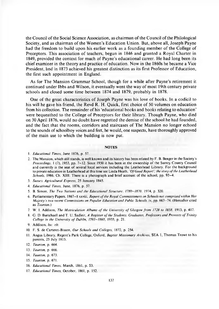the Council of the Social Science Association, as chairman of the Council of the Philological Society, and as chairman of the Women's Education Union. But, above all, Joseph Payne had the freedom to build upon his earlier work as a founding member of the College of Preceptors. This association of teachers, begun in 1846 and granted a Royal Charter in 1849, provided the context for much of Payne's educational career. He had long been its chief examiner in the theory and practice of education. Now in the 1860s he became a Vice President, and in 1873 achieved his greatest distinction as its first Professor of Education, the first such appointment in England.

As for The Mansion Grammar School, though for a while after Payne's retirement it continued under Ibbs and Wilson, it eventually went the way of most 19th century private schools and closed some time between 1874 and 1879, probably in 1878.

One of the great characteristics of Joseph Payne was his love of books. In a codicil to his will he gave his friend, the Revd R. H. Quick, first choice of 50 volumes on education from his collection. The remainder of his 'educational books and books relating to education' were bequeathed to the College of Preceptors for their library. Though Payne, who died on 30 April 1876, would no doubt have regretted the demise of the school he had founded, and the fact that the rooms, corridors and staircases of The Mansion no longer echoed to the sounds of schoolboy voices and feet, he would, one suspects, have thoroughly approved of the main use to which the building is now put.

#### **NOTES**

- 2. The Mansion, which still stands, is well known and its history has been related by F. B. Benger in the Society's *Proceedings,* 1 (7), 1953, pp. 7-12. Since 1950 it has been in the ownership of the Surrey County Council and currently is the seat of several local services including the Leatherhead Library. For the background to private education in Leatherhead at this time see Linda Heath, *Of Good Report*; the story of the Leatherhead *Schools,* 1986, Ch. XIII. There is a photograph and brief account of the school, pp. 93-4.
- 3. *Sussex Agricultural Express,* 25 January 1845.
- 4. *Educational Times,* June, 1876, p. 57.
- 5. B. Simon, *The Two Nations and the Educational Structure, 1780-1870,* 1974, p. 320.
- 6. Parliamentary Papers, 1867-8 xxviii, *Report of the Royal Commissioners on Schools not comprised within Her Majesty's two recent Commissions on Popular Education and Public Schools, iv, pp. 663-74. (Hereafter cited* as *Taunton.)*
- 7. W. I. Addison, *The Matriculation Albums of the University of Glasgow from 1728 to 1858*, 1913, p. 417.
- 8. G. D. Burtchaell and T. U. Sadleir, *A Register of the Students, Graduates, Professors and Provosts of Trinity College in the University of Dublin, 1593-1860, 1935, p. 21.*

- 10. F. S. de Carteret-Bisson, Our Schools and Colleges. 1872, p. 254.
- 11. Angus Library, Regent's Park College, Oxford, *Baptist Missionary Archives*, SEA 1, Thomas Trowt to his parents, 25 July 1815.
- 12. *Taunton,* p. 664.
- 13. *Taunton,* p. 666.
- 14. *Taunton,* p. 673.
- 15. *Taunton,* p. 671.
- 16. *Educational Times*, March, 1861, p. 53.
- 17. *Educational Times*, October, 1861, p. 152.

<sup>1.</sup> *Educational Times,* June 1876. p. 57.

<sup>9.</sup> Addison, *loc. cit.*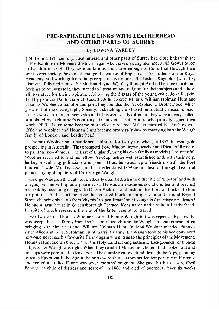### **PRE-RAPHAELITE LINKS WITH LEATHERHEAD AND OTHER PARTS OF SURREY**

#### By EDWINA VARDEY

IN the mid 19th century, Leatherhead and other parts of Surrey had close links with the Pre-Raphaelite Movement which began when seven young men met at 83 Gower Street in London in 1848. They were am bitious and naive enough to think that through their semi-secret society they could change the course of English art. As students at the Royal Academy, still working from the precepts of its founder, Sir Joshua Reynolds (who they disrespectfully nicknamed 'Sir Sloshua Reynolds'), they thought Art had become moribund. Seeking to rejuvenate it, they turned to literature and religion for their subjects and, above all, to nature for their inspiration following the diktats of the young critic, John Ruskin. Led by painters Dante Gabriel Rossetti, John Everett Millais, William Holman Hunt and Thomas Woolner, a sculptor and poet, they founded the Pre-Raphaelite Brotherhood, which grew out of the Cyclography Society, a sketching club based on mutual criticism of each other's work. Although their styles and ideas were vastly different, they were all very skilled, stimulated by each other's company—friends in a brotherhood who proudly signed their work 'PRB'. Later some became more closely related. Millais married Ruskin's ex-wife Effie and Woolner and Holman Hunt became brothers-in-law by marrying into the Waugh family of London and Leatherhead.

Thomas Woolner had abandoned sculpture for two years when, in 1852, he went gold prospecting in Australia. (This prompted Ford Madox Brown, teacher and friend of Rossetti, to paint the now-famous 'The Last of England', using his own family as models.) Unsuccessful, Woolner returned to find his fellow Pre-Raphaelites well established and, with their help, he began sculpting politicians and poets. Thus, he struck up a friendship with the Poet Laureate's wife, Mrs Tennyson, and in a letter dated 1859 we first hear of the eight beautiful piano-playing daughters of Dr George Waugh.

George Waugh, although not medically qualified, assumed the title of 'Doctor' and with a legacy set himself up as a pharm acist. He was an assiduous social climber and reached his peak by becoming druggist to Queen Victoria, and fashionable London flocked to him for potions. As his fortune grew, he acquired blocks of property in and around Regent Street, changing his status from 'chymist' to 'gentleman' on his daughters' marriage certificates.' He had a large house in Queensborough Terrace, Kensington and a villa in Leatherhead. In spite of much research, the site of the latter cannot be traced.

For two years, Thomas Woolner courted Fanny Waugh but was rejected. By now, he was acceptable as a family friend so he continued visiting the Waughs in Leatherhead, often bringing with him his friend, William Holman Hunt. In 1864 Woolner married Fanny's sister Alice and in 1865 Holman Hunt married Fanny. Dr Waugh took to his bed convinced he would never see his favourite Fanny again when, true to the principles of the Movement, Holman Hunt and his bride left for the Holy Land seeking authentic backgrounds for biblical subjects. Dr Waugh was right. When they reached Marseilles, cholera had broken out and no ships were permitted to leave port. The couple went overland through the Alps, planning to reach Egypt via Italy. Again the ports were shut, so they settled tem porarily in Florence and rented a studio. Fanny was seven months' pregnant. She gave birth to a son, Cyril Benone ('a child of distress and sorrow ') in 1866 and died of puerperal fever six weeks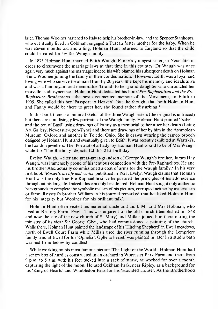later. Thomas Woolner hastened to Italy to help his brother-in-law, and the Spencer Stanhopes, who eventually lived in Cobham, engaged a Tuscan foster mother for the baby. When he was eleven months old and ailing. Holman Hunt returned to England so that the child could be cared for by the Waugh family.

In 1875 Holman Hunt married Edith Waugh, Fanny's youngest sister, in Neuchatel in order to circumvent the marriage laws at that time in this country. Dr Waugh was once again very much against the marriage; indeed his wife blamed his subsequent death on Holman Hunt, Woolner joining the family in their condemnation.<sup>2</sup> However, Edith was a loyal and loving wife who survived Holman Hunt by 20 years. She kept his memory and ideals alive and was a flamboyant and memorable 'Grand' to her grand-daughter who chronicled her marvellous idiosyncrasies. Holman Hunt dedicated his book 'Pre-Raphaelitism and the Pre-*Raphaelite Brotherhood*', the best documented memoir of the Movement, to Edith in 1905. She called this her 'Passport to Heaven'. But the thought that both Holman Hunt and Fanny would be there to greet her, she found rather disturbing.<sup>3</sup>

In this book there is a minimal sketch of the three Waugh sisters (the original is untraced) but there are tantalisingly few portraits of the Waugh family. Holman Hunt painted 'Isabella and the pot of Basil' using drawings of Fanny as a memorial to her after her death (Laing Art Gallery, Newcastle-upon-Tyne) and there are drawings of her by him in the Ashmolean Museum, Oxford and another in Toledo, Ohio. She is drawn wearing the cameo brooch designed by Holman Hunt and eventually given to Edith. It was recently exhibited at Wartski's, the London jewellers. The 'Portrait of a Lady' by Holman Hunt is said to be of Mrs Waugh while the 'The Birthday' depicts Edith's 21st birthday.

Evelyn Waugh, writer and great-great-grandson of George Waugh's brother, James Hay Waugh, was immensely proud of his tenuous connection with the Pre-Raphaelites. He and his brother Alec actually commissioned a coat of arms for the Waugh family.<sup>4</sup> In his very first book *Rossetti, his life and works'* published in 1928, Evelyn W augh claims that Holman Hunt was the only true Pre-Raphaelite since he pursued the principles of his adolescence throughout his long life. Indeed, this can only be admired. Holman Hunt sought only authentic backgrounds to complete the symbolic realism of his pictures, corrupted neither by materialism or fame. Rossetti's brother William in his journal remarked that he 'liked Holman Hunt for his integrity but Woolner for his brilliant talk'.

Holman Hunt often visited his maternal uncle and aunt, Mr and Mrs Hobman, who lived at Rectory Farm, Ewell. This was adjacent to the old church (demolished in 1848) and now the site of the new church of St Mary) and Millais joined him there during the ministry of its vicar Sir George Glyn, who had commissioned a painting of the church. While there, Holman Hunt painted the landscape of his 'Hireling Shepherd' in Ewell meadows, north of Ewell Court Farm while Millais used the river running through the Lempriere family land at Ewell for his 'Ophelia'. Ophelia herself was painted in later in a studio bath warmed from below by candles!

While working on his most famous picture 'The Light of the World', Holman Hunt had a sentry box of hurdles constructed in an orchard in W orcester Park Farm and there from 9 p.m. to 5 a.m. with his feet tucked into a sack of straw, he worked for over a month capturing the light of the moon. He used Ockham Park, near Ripley, as a background for his 'King of Hearts' and Wimbledon Park for his 'Haunted House'. As the Brotherhood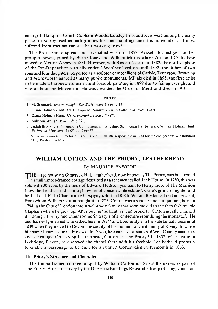enlarged, Hampton Court, Cobham Woods, Loseley Park and Kew were among the many places in Surrey used as backgrounds for their paintings and it is no wonder that most suffered from rheumatism all their working lives.<sup>5</sup>

The Brotherhood spread and diversified when, in 1857, Rossetti formed yet another group of seven, joined by Burne-Jones and William Morris whose Arts and Crafts base moved to Merton Abbey in 1881. However, with Rossetti's death in 1882, the creative phase of the Pre-Raphaelites virtually ended.<sup>6</sup> Woolner lived on until 1892, the father of two sons and four daughters; respected as a sculptor of medallions of Carlyle, Tennyson, Browning and Wordsworth as well as many public monuments. Millais died in 1895, the first artist to be made a baronet. Holman Hunt forsook painting in 1899 due to failing eyesight and wrote about the Movement. He was awarded the Order of Merit and died in 1910.

#### **NOTES**

- 1. M. Stannard. *Evelyn Waugli: The Early Years* (1986) p.14
- 2. Diana Holman Hunt, *My Grandfather Holman Hunt, his loves and wives* (1987)
- 3. Diana Holman Hunt, My Grandmothers and *I* (1987).
- 4. A uberon W augh. *Will it do* (1991)
- 5. Judith Bronkhurst, 'Fruits of a Connoisseur's Friendship: Sir Thomas Fairbairn and William Holman Hunt' *Burlington M agazine* (1983) pp. 586-97
- 6. Sir Alan Bowness, Director of Tate Gallery, 1980–88, responsible in 1984 for the comprehensive exhibition 'The Pre-Raphaelites'.

#### <span id="page-17-0"></span>**WILLIAM COTTON AND THE PRIORY, LEATHERHEAD**

#### By MAURICE EXWOOD

THE large house on Gimcrack Hill, Leatherhead, now known as The Priory, was built round a small timber-framed cottage described as a tenement called Link House. In 1750, this was sold with 30 acres by the heirs of Edward Hudson, yeoman, to Henry Gore of The Mansion (now the Leatherhead Library) 'owner of considerable estates'. Gore's grand-daughter and her husband, Philip Champion de Crespigny, sold it in 1818 to William Brydon, a London merchant, from whom William C otton bought it in 1823. C otton was a scholar and antiquarian, born in 1794 in the City of London into a well-to-do family that soon moved to the then fashionable C lapham where he grew up. A fter buying the Leatherhead property, C otton greatly enlarged it, adding a library and other rooms 'in a style of architecture resembling the monastic'.<sup>1</sup> He and his newly-married wife settled here in 1824<sup>2</sup> and lived in style in the substantial house until 1839 when they moved to Devon, the county of his mother's ancient family of Savery, to where his married sister had recently moved. In Devon, he continued his studies of West Country antiquities and genealogy. On leaving Leatherhead, Cotton let The Priory.<sup>3</sup> In 1852, when living in Ivybridge, Devon, he endowed the chapel there with his freehold Leatherhead property to enable a parsonage to be built for a curate.<sup>4</sup> Cotton died in Plymouth in 1863.

#### **The Priory's Structure and Character**

The timber-framed cottage bought by William Cotton in 1823 still survives as part of The Priory. A recent survey by the Domestic Buildings Research Group (Surrey) considers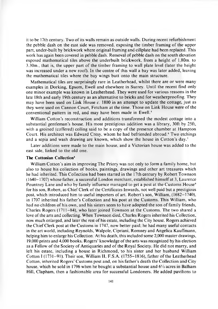it to be 17th century. Two of its walls remain as outside walls. During recent refurbishment the pebble dash on the east side was removed, exposing the timber framing of the upper part, under-built by brickwork where original framing and cillplate had been replaced. This work has again been covered in pebble dash. Removal of pebble dash on the south elevation exposed mathematical tiles above the underbuilt brickwork, from a height of 1.80m. to 3.30m., that is, the upper part of the timber framing to wall plate level (later the height was increased under a new roof). In the centre of this wall a bay was later added, leaving the mathematical tiles where the bay wings butt onto the main structure.

Mathematical tiles are surprisingly rare in Leatherhead, whilst there are or were many examples in Dorking, Epsom, Ewell and elsewhere in Surrey. Until the recent find only one minor example was known in Leatherhead. They were used for various reasons in the late 18th and early 19th century as an alternative to bricks and for weatherproofing. They may have been used on Link House *c*. 1800 in an attempt to update the cottage, just as they were used on Cannon Court, Fetcham at the time. Those on Link House were of the conventional pattern in red, and may have been made in Ewell.<sup>5</sup>

William Cotton's reconstruction and additions transformed the modest cottage into a substantial gentleman's house. His most prestigious addition was a library, 30ft by 25ft, with a groined (coffered) ceiling said to be a copy of the presence chamber at Hampton Court. His architect was Edward Cresy, whom he had befriended abroad.<sup>6</sup> Two etchings and a sepia and wash drawing are known, which show the house in Cotton's day.<sup>7</sup>

Later additions were made to the main house, and a Victorian house was added to the east side, linked to the old one.

#### **The Cottonian Collection8**

William Cotton's aim in improving The Priory was not only to form a family home, but also to house his collection of books, paintings, drawings and other art treasures which he had inherited. This Collection had been started in the 17th century by Robert Townson  $(1640-1707)$  whose father, a successful London merchant, established himself at 3, Laurence Pountney Lane and who by family influence managed to get a post at the Customs House<sup>9</sup> for his son, Robert, as Chief Clerk of the Certificates Inwards, not well paid but a prestigious post, which introduced him to useful importers of art. Robert's son, William, (1682–1740), in 1707 inherited his father's Collection and his post at the Customs. This William, who had no children of his own, and his sisters seem to have adopted the son of family friends, Charles Rogers  $(1711-84)$ , who later joined Townson at the Customs. The two shared a love of the arts and collecting. When Townson died, Charles Rogers inherited his Collection, now much enlarged, and later the rest of his estate, including the City house. Rogers achieved the Chief Clerk post at the Customs in 1747, now better paid; he had many useful contacts in the art world, including Reynolds, Walpole, Cipriani, Romney and Angelica Kauffmann, helping him to enlarge his Collection. At his death, this included some 2,000 master drawings, 19,000 prints and 4,000 books. Rogers' knowledge of the arts was recognized by his election as a Fellow of the Society of Antiquaries and of the Royal Society. He did not marry, and left his estate, including a house in Richmond, to his sister and her husband William Cotton I (1731-91). Their son, William II, F.S.A. (1755-1816), father of the Leatherhead Cotton, inherited Rogers' Customs post and, on his father's death the Collection and City house, which he sold in 1796 when he bought a substantial house and  $6\frac{1}{2}$  acres in Balham Hill, Clapham, then a fashionable area for successful Londoners. He added pavilions to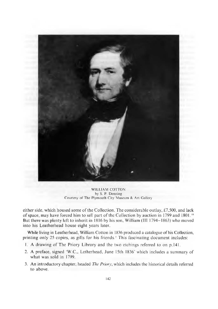

WILLIAM COTTON by S. P. Denning Courtesy of The Plymouth City Museum & Art Gallery

either side, which housed some of the Collection. The considerable outlay, £7,500, and lack of space, may have forced him to sell part of the Collection by auction in 1799 and 1801.<sup>10</sup> But there was plenty left to inherit in 1816 by his son, W illiam (III 1794-1863) who moved into his Leatherhead house eight years later.

While living in Leatherhead, William Cotton in 1836 produced a catalogue of his Collection, printing only 25 copies, as gifts for his friends.' This fascinating document includes:

- 1. A drawing of The Priory Library and the two etchings referred to on p.141.
- 2. A preface, signed 'W.C., Letherhead, June 15th 1836' which includes a summary of what was sold in 1799.
- 3. An introductory chapter, headed *The Priory,* which includes the historical details referred to above.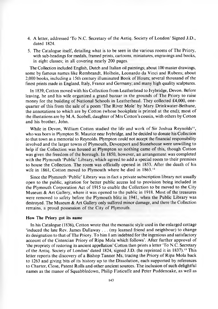- 4. A letter, addressed 'To N.C. Secretary of the Antiq. Society of London' Signed J.D., dated 1824.
- 5. The Catalogue itself, detailing what is to be seen in the various rooms of The Priory, with sub-headings for medals, framed prints, cartoons, miniatures, engravings and books, in eight classes; in all covering nearly 200 pages.

The Collection included English, Dutch and Italian oil paintings; about 100 master drawings, some by famous names like Rembrandt, Holbein, Leonardo da Vinci and Rubens; about 2,000 books, including a 15th century illuminated Book of Hours; several thousand of the finest prints made in England, Italy, France and Germany; and many high quality sculptures.

In 1839, Cotton moved with his Collection from Leatherhead to Ivybridge, Devon. Before leaving, he and his wife organized a grand bazaar in the grounds of The Priory to raise money for the building of National Schools in Leatherhead. They collected £4,000, onequarter of this from the sale of a poem 'The River Mole' by Mary Drinkwater-Bethune, the annotations to which are by Cotton (whose bookplate is printed at the end); most of the illustations are by M.A. Scobell, daughter of Mrs C otton's cousin, with others by Cotton and his brother, John.

While in Devon, William Cotton studied the life and work of Sir Joshua Reynolds", who was born in Plympton St. Maurice near Ivybridge, and he decided to donate his Collection to that town as a memorial to Reynolds. Plympton could not accept the financial responsibility involved and the larger towns of Plymouth, Devonport and Stonehouse were unwilling to help if the Collection was housed at Plympton so nothing came of this, though Cotton was given the freedom of the borough. In 1850, however, an arrangement was completed with the Plymouth 'Public' Library, which agreed to add a special room to their premises to house the Collection. The room was officially opened in 1853. After the death of his wife in 1861, Cotton moved to Plymouth where he died in 1863.<sup>12</sup>

Since the Plymouth 'Public' Library was in fact a private subscription library not usually open to the public, agitation for better public access led to provision being included in the Plymouth Corporation Act of 1915 to enable the Collection to be moved to the City Museum  $&$  Art Gallery, where it was opened to the public in 1918. Most of the treasures were removed to safety before the Plymouth blitz in 1941, when the Public Library was destroyed. The Museum & Art Gallery only suffered minor damage, and there the Collection remains, a proud possession of the City of Plymouth.

#### **How The Priory got its name**

In his Catalogue (1836), C otton wrote that the monastic style used in the enlarged cottage 'induced the late Rev. James Dallaway . . . (my learned friend and neighbour) to change its designation to that of The Priory. To him I am indebted for the ingenious and satisfactory account of the Cistercian Priory of Ripa Mola which follows'. After further approval of 'the propriety of restoring its ancient appellation' Cotton then prints a letter 'To N.C. Secretary of the Antiq. Society of London' dated 1824, signed J.D. (he reprinted it in 1837).<sup>13</sup> This letter reports the discovery of a Bishop Tanner Ms, tracing the Priory of Ripa Mola back to 1263 and giving bits of its history up to the Dissolution, each supported by references to Charter, Close, Patent Rolls and other ancient sources. The inclusion of such delightful names as the manor of Squabbledown, Philip Fisticuffe and Peter Puddencake, as well as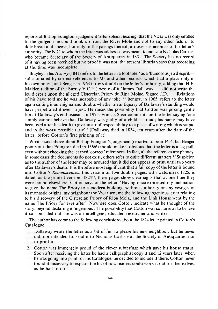reports of Bishop Edington's judgement 'after solemn hearing' that the Vicar was only entitled to the gudgeon he could hook up from the River Mole and not to any other fish, or to dole bread and cheese, but only to the parings thereof, arouses suspicion as to the letter's authority. The N.C. to whom the letter was addressed was meant to indicate Nicholas Carlisle, who became Secretary of the Society of Antiquaries in 1831. The Society has no record of it having been received but no proof it was not: the present librarian says that recording at the time was incomplete.

Brayley in his *History* (1841) refers to the letter in a footnote<sup>14</sup> as a 'humorous jeu d'esprit, substantiated by correct references to Ms and other records, which had a place only in his own notes'; and Benger in 1963 throws doubt on the letter's authority, adding that H.E. Malden (editor of the Surrey V.C.H.) wrote of it 'James Dallaway . . . did not write the jeu d'esprit upon the alleged Cistercian Priory de Ripa M olae, Signed J.D. . . . Relations of his have told me he was incapable of any joke'.<sup>15</sup> Benger, in 1965, refers to the letter again calling it an enigma and doubts whether an antiquary of Dallaway's standing would have perpetrated it even in jest. He raises the possibility that Cotton was poking gentle fun at Dallaway's enthusiasm. In 1975, Francis Steer comments on the letter saying 'one simply cannot believe that Dallaway was guilty of a childish fraud; his name may have been used after his death to give an air of respectability to a piece of writing which is stupid and in the worst possible taste'16 (Dallaway died in 1834, ten years after the date of the letter, before Cotton's first printing of it).

What is said above about Bishop Edington's judgement (reported to be in 1454, but Benger points out that Edington died in 1366!) should make it obvious that the letter is a leg-pull, even without checking the learned 'correct' references. In fact, all the references are phoney: in some cases the documents do not exist, others refer to quite different matters.<sup>17</sup> Suspicion as to the author of the letter may be aroused that it did not appear in print until two years after Dallaway's death. It is therefore most significant that a fair copy of the letter is bound into Cotton's *Reminiscences:* this version on five double pages, with watermark 1825, is dated, as the printed version,  $1824<sup>18</sup>$ ; these pages show clear signs that at one time they were bound elsewhere. Cotton says of the letter: 'Having once expressed my inclination to give the name The Priory to a modern building, without authority or any vestiges of its monastic origins, my neighbour the Vicar sent me the following ingenious letter relating to his discovery of the Cistercian Priory of Ripa Mola, and the Link House went by the name The Priory for ever after'. Nowhere does Cotton indicate what he thought of the story, beyond declaring it 'ingenious'. The possibility that C otton was so naive as to believe it can be ruled out; he was an intelligent, educated researcher and writer.

The author has come to the following conclusions about the 1824 letter printed in Cotton's Catalogue:

- 1. Dallaway wrote the letter as a bit of fun to please his new neighbour, but he never did, nor intended to, send it to Nicholas Carlisle at the Society of Antiquaries, nor to print it.
- 2. Cotton was immensely proud of the clever subterfuge which gave his house status. Soon after receiving the letter he had a calligraphist copy it and 12 years later, when he was going into print for his Catalogue, he decided to include it there. C otton never found it necessary to explain the bit of fun: readers could work it out for themselves, as he had to do.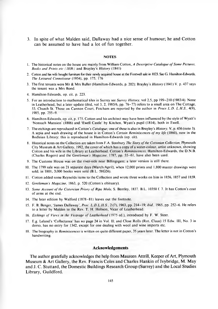**3. In spite of what Malden said, Dallaway had a nice sense of humour; he and Cotton can be assumed to have had a lot of fun together.**

#### **NOTES**

- 1. The historical notes on the house are mainly from William Cotton, *A Descriptive Catalogue of Some Pictures*, *Books and Prints etc (1836)* and Brayley's *History* (1841)
- 2. Cotton and his wife bought furniture for their newly acquired house at the Fontwell sale in 1823. See G. Hamilton-Edwards, *The Leisured Connoisseur* (1954), pp. 175, 176
- 3. The first tenants were Mr & Mrs Buller (Hamilton-Edwards, p. 202); Brayley's *History* (1841) V. p. 437 says the tenant was a Mrs Bond.
- 4. Hamilton-Edwards, op. cit. p. 223.
- 5. For an introduction to mathematical tiles in Surrey see *Surrey History,* vol 2,5, pp 199-210 (1983/4). None in Leatherhead, but a later update (ibid, vol 3, 2, 1985/6, pp. 76-77) refers to a small area on The Cottage, 53, Church St. Those on Cannon Court, Fetcham are reported by the author in *Procs L.D. L.H .S.,* 4(9), 1985, pp. 255-9.
- 6. Hamilton-Edwards, op. cit, p. 175. Cotton and his architect may have been influenced by the style of Wyatt's 'Nonsuch Mansion' (1806) and 'Ewell Castle' by Kitchen, Wyatt's pupil (1814), both in Ewell.
- 7. The etchings are reproduced in Cotton's *Catalogue;* one of these is also in Brayley's *History*, V, p. 436 (note 3). A sepia and wash drawing of the house is in Cotton's *Certain Reminiscences of my life* (1860), now in the Bodleian Library; this is reproduced in Hamilton-Edwards (op. cit).
- 8. Historical notes on the Collection are taken from F.A. Stanbury *The Story o f the Cottonian Collection,* Plymouth City Museum & Art Gallery, 1992, the cover of which has a copy of a water-colour, artist unknown, showing Cotton and his wife in the Library at Leatherhead. C otton's *Reminiscences,* Hamilton-Edwards, the D.N.B. (Charles Rogers) and the *Gentleman's Magazine,* 1787, pp. 55-61, have also been used.
- 9. The Customs House was on the river-side near Billingsgate; a later version is still there.
- 10. The 1799 sale was on 21 separate days (March/April), when 12,000 prints and 1,800 master drawings were sold; in 1801, 3,000 books were sold (B.L. 58G26).
- 11. Cotton added some Reynolds items to the Collection and wrote three works on him in 1856, 1857 and 1859.
- 12. *Gentleman's Magazine*, 1863, p. 520 (Cotton's obituary).
- 13. Some Account of the Cistercian Priory of Ripa Mola, S. Bentley, 1837. B.L. 10350 f. 7. It has Cotton's coat of arms at the end.
- 14. The later edition by Walford (1878-81) leaves out the footnote.
- 15. F. B. Benger, 'James Dallaway', *Proc. L.D .L.H .S.,* 2 (7), 1963, pp. 214-19; *ibid.,* 1965, pp. 252-6. He refers to a letter by Malden to the Rev. T. H. Hobson, Vicar of Leatherhead.
- 16. *Etchings of Views in the Vicarage of Leatherhead* (1975 ed.), introduced by F. W. Steer.
- 17. E.g. Leland's 'Collectanea' has no page 24 in Vol. II; and Close Rolls (Rot. Claus) 15 Edw. Ill, No. 3 in dorso, has no entry for 1342, except for one dealing with wool and wine imports etc.
- 18. The biography in *Reminiscences* is written on quite different paper, 35 years later. The letter is not in Cotton's handwriting.

#### **Acknowledgements**

**The author gratefully acknowledges the help from Maureen Attrill, Keeper of Art, Plymouth Museum & Art Gallery, the Rev. Francis Coles and Charles Hankin of Ivybridge, M. May and J. C. Stuttard, the Domestic Buildings Research Group (Surrey) and the Local Studies Library, Guildford.**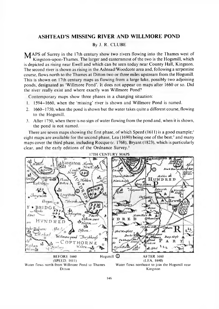### <span id="page-23-0"></span>**ASHTEAD'S MISSING RIVER AND WILLMORE POND**

#### By J. R. CLUBE

 $M$ APS of Surrey in the 17th century show two rivers flowing into the Thames west of Kingston-upon-Thames. The larger and easternmost of the two is the Hogsmill, which is depicted as rising near Ewell and which can be seen today near County Hall, Kingston. The second river is shown as rising in the Ashtead/Woodcote area and, following a serpentine course, flows north to the Thames at Ditton two or three miles upstream from the Hogsmill. This is shown on 17th century maps as flowing from a large lake, possibly two adjoining ponds, designated as 'Willmore Pond'. It does not appear on maps after 1660 or so. Did the river really exist and where exactly was Willmore Pond?

Contemporary maps show three phases in a changing situation:

- 1. 1594-1660, when the 'missing' river is shown and Willmore Pond is named.
- 2. 1660-1750, when the pond is shown but the water takes quite a different course, flowing to the Hogsmill.
- 3. After 1750, when there is no sign of water flowing from the pond and, when it is shown, the pond is not named.

There are seven maps showing the first phase, of which Speed  $(1611)$  is a good example;<sup>1</sup> eight maps are available for the second phase. Lea (1690) being one of the best;<sup>2</sup> and many m aps cover the third phase, including Rocque *(c.* 1768), Bryant (1823), which is particularly clear, and the early editions of the Ordnance Survey.<sup>3</sup>

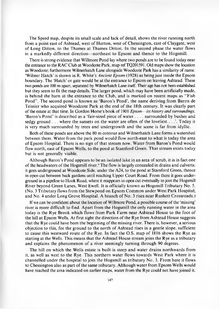The Speed map, despite its small scale and lack of detail, shows the river running north from a point east of Ashtead, west of Horton, west of Chessington, east of Claygate, west of Long Ditton, to the Thames at Thames Ditton. In the second phase the water flows in a markedly different direction—northeast to Epsom and thence to the Hogsmill.

There is strong evidence that Willmore Pond lay where two ponds are to be found today near the entrance to the RAC Club at Woodcote Park, map ref TQ201591. Old maps show the location as Woodcote; furthermore Wilmerhatch Lane alongside Woodcote Park has a similarity of name. 'Wilmer Hatch' is shown in R. White's *Ancient Epsom* (1928) as being just inside the Epsom boundary. The 'Hatch' or gate would be at the entrance to Epsom on leaving Ashtead. These two ponds are 100 m apart, separated by Wilmerhatch Lane itself. Their age has not been established but they seem to fit the map details. The larger pond, which may have been artificially made, is behind the barn at the entrance to the Club, and is marked on recent maps as "Fish" Pond". The second pond is known as 'Baron's Pond', the name deriving from Baron de Teissier who acquired Woodcote Park at the end of the 18th century. It was clearly part of the estate at that time. In Gordon Home's book of 1901 *Epsom— its history and surroundings,* 'Baron's Pond' is described as a 'fair-sized piece of water .... surrounded by bushes and sedgy ground  $\dots$  where the sunsets on the water are often of the loveliest  $\dots$ . Today it is very much surrounded by trees and undergrowth and the scene is far from idyllic.

Both of these ponds are above the 80 m contour and Wilmerhatch Lane forms a watershed between them. Water from the park pond would flow north-east to what is today the area of Epsom Hospital. There is no sign of that stream now. Water from Baron's Pond would flow north, east of Epsom Wells, to the pond at Stamford Green. That stream exists today but is not generally visible.

Although Baron's Pond appears to be an isolated lake in an area of scrub, it is in fact one of the headwaters of the Hogsmill river.<sup>4</sup> The flow is largely concealed in drains and culverts: it goes underground at Woodcote Side, under the A24, to the pond at Stamford Green, thence in open cut between back gardens until reaching Upper Court Road. From there it goes underground in a pipeline to Hook Road, where it reappears in open cut eventually to join the Hogsmill River beyond Green Lanes, West Ewell. It is officially known as Hogsmill Tributary No. 5. (No. 3 Tributary flows from the Stewpond on Epsom Common under West Park Hospital; and No. 4 under Long Grove Hospital. A branch of No. 3 rises near Rushett Crossroads.)

If we can be confident about the location of Willmore Pond, a possible course of the 'missing' river is more difficult to find. Apart from the Hogsmill the only running water in the area today is the Rye Brook which flows from Park Farm near A shtead House to the foot of the hill at Epsom Wells. At first sight the direction of the Rye from Ashtead House suggests that the Rye could have been the beginning of the missing river. There is, however, a serious objection to this, for the ground to the north of Ashtead rises in a gentle slope, sufficient to cause this westward route of the Rye. In fact the O.S. m ap of 1816 shows the Rye as starting at the Wells. This means that the Ashtead House stream joins the Rye as a tributary and explains the phenomenon of a river seemingly turning through 90 degrees.

The hill on which the Wells estate is built is steep and water drains northwards from it, as well as west to the Rye. This northern water flows towards West Park where it is channelled under the hospital to join the Hogsmill as tributary No. 3. From here it flows to Chessington also as part of the same tributary. A lthough water from Epsom Wells would have reached the area indicated on earlier maps, water from the Rye could not have joined it.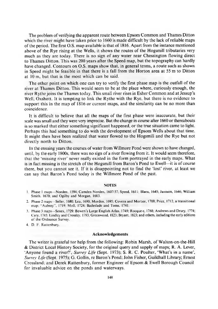The problem of verifying the apparent route between Epsom Common and Thames Ditton which the river might have taken prior to  $1660$  is made difficult by the lack of reliable maps o f the period. The first O.S. m ap available is that of 1816. A part from the instance mentioned above of the Rye rising at the Wells, it shows the routes of the Hogsmill tributaries very much as they are today. There is no sign of any water near Chessington flowing direct to Thames Ditton. This was 200 years after the Speed map, but the topography can hardly have changed. Contours on O.S. maps show that, in general terms, a route such as shown in Speed might be feasible in that there is a fall from the Horton area at 55 m to Ditton at  $10 \text{ m}$ , but that is the most which can be said.

The other point on which one can try to verify the first phase map is the outfall of the river at Thames Ditton. This would seem to be at the place where, curiously enough, the river Rythe joins the Thames today. This small river rises in Esher Common and at Jessup's Well, Oxshott. It is tempting to link the R ythe with the R ye, but there is no evidence to support this in the map of  $1816$  or current maps, and the similarity can be no more than coincidence.

It is difficult to believe that all the maps of the first phase were inaccurate, but their scale was small and they were very imprecise. But the change in course after 1660 or thereabouts is so marked that either something significant happened, or the true situation came to light. Perhaps this had something to do with the development of Epsom Wells about that time. It might then have been realized that water flowed to the Hogsmill and the Rye but not directly north to Ditton.

In the ensuing years the courses of water from Willmore Pond were shown to have changed, until, by the early 1800s, there was no sign of a river flowing from it. It would seem therefore, that the 'missing river' never really existed in the form portrayed in the early maps. What is in fact missing is the stretch of the Hogsmill from Baron's Pond to Ewell—it is of course there, but you cannot see it. If it is disappointing not to find the 'lost' river, at least we can say that Baron's Pond today is the Willmore Pond of the past.

#### **NOTES**

- 1. Phase 1 maps—Norden, 1594; Camden Norden, 1607/37; Speed, 1611; Blaeu, 1645; Jansson, 1646; William Smith, 1670; and Ogilby and Morgan, 1683.
- 2. Phase 2 maps—Seller, 1680; Lea, 1690; Morden, 1695; Covens and Mortier, 1700; Price, 1712, a transitional map; "Aubrey", 1719; Moll, 1724; Badeslade and Toms, 1741.
- 3. Phase 3 m aps— Senex, 1729; Bowen's Large English Atlas, 1749; R ocque c, 1768; Andrews and Drury. 1774; Cary. 1785; Lindley and Crossley. 1793; Greenwood. 1823; Bryant, 1823; and others, including the early editions of the Ordnance Survey.
- 4. D. F. Rattenbury.

#### **Acknowledgements**

The writer is grateful tor help from the following: Robin Marsh, of Walton-on-the-Hill & District Local History Society, for the original query and supply of maps; R. A. Lever, 'Anyone found a river?', *Surrey Life* (Sept. 1973); S. R. C. Poulter, 'What's in a name', *Surrey Life* (Sept. 1975); G. Gollin, re Baron's Pond; John Fisher, Guildhall Library; Ernest Crossland; and Derek Rattenbury, former Engineer of Epsom & Ewell Borough Council for invaluable advice on the ponds and waterways.